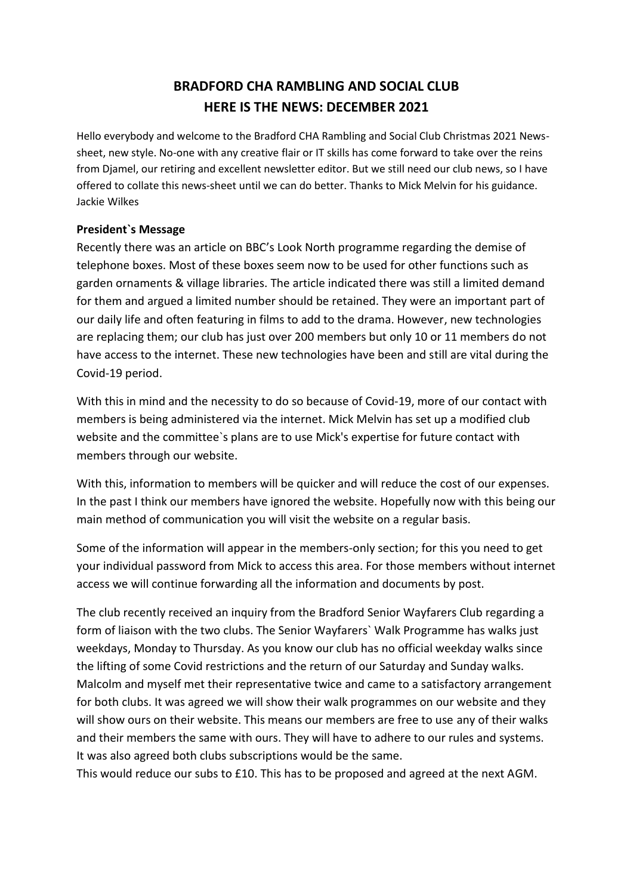# **BRADFORD CHA RAMBLING AND SOCIAL CLUB HERE IS THE NEWS: DECEMBER 2021**

Hello everybody and welcome to the Bradford CHA Rambling and Social Club Christmas 2021 Newssheet, new style. No-one with any creative flair or IT skills has come forward to take over the reins from Djamel, our retiring and excellent newsletter editor. But we still need our club news, so I have offered to collate this news-sheet until we can do better. Thanks to Mick Melvin for his guidance. Jackie Wilkes

## **President`s Message**

Recently there was an article on BBC's Look North programme regarding the demise of telephone boxes. Most of these boxes seem now to be used for other functions such as garden ornaments & village libraries. The article indicated there was still a limited demand for them and argued a limited number should be retained. They were an important part of our daily life and often featuring in films to add to the drama. However, new technologies are replacing them; our club has just over 200 members but only 10 or 11 members do not have access to the internet. These new technologies have been and still are vital during the Covid-19 period.

With this in mind and the necessity to do so because of Covid-19, more of our contact with members is being administered via the internet. Mick Melvin has set up a modified club website and the committee`s plans are to use Mick's expertise for future contact with members through our website.

With this, information to members will be quicker and will reduce the cost of our expenses. In the past I think our members have ignored the website. Hopefully now with this being our main method of communication you will visit the website on a regular basis.

Some of the information will appear in the members-only section; for this you need to get your individual password from Mick to access this area. For those members without internet access we will continue forwarding all the information and documents by post.

The club recently received an inquiry from the Bradford Senior Wayfarers Club regarding a form of liaison with the two clubs. The Senior Wayfarers` Walk Programme has walks just weekdays, Monday to Thursday. As you know our club has no official weekday walks since the lifting of some Covid restrictions and the return of our Saturday and Sunday walks. Malcolm and myself met their representative twice and came to a satisfactory arrangement for both clubs. It was agreed we will show their walk programmes on our website and they will show ours on their website. This means our members are free to use any of their walks and their members the same with ours. They will have to adhere to our rules and systems. It was also agreed both clubs subscriptions would be the same.

This would reduce our subs to £10. This has to be proposed and agreed at the next AGM.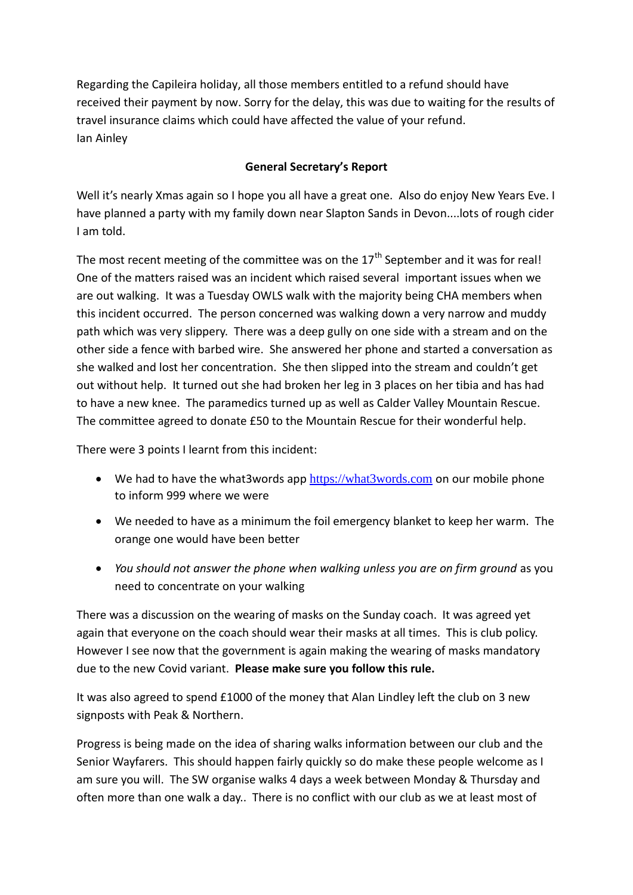Regarding the Capileira holiday, all those members entitled to a refund should have received their payment by now. Sorry for the delay, this was due to waiting for the results of travel insurance claims which could have affected the value of your refund. Ian Ainley

## **General Secretary's Report**

Well it's nearly Xmas again so I hope you all have a great one. Also do enjoy New Years Eve. I have planned a party with my family down near Slapton Sands in Devon....lots of rough cider I am told.

The most recent meeting of the committee was on the  $17<sup>th</sup>$  September and it was for real! One of the matters raised was an incident which raised several important issues when we are out walking. It was a Tuesday OWLS walk with the majority being CHA members when this incident occurred. The person concerned was walking down a very narrow and muddy path which was very slippery. There was a deep gully on one side with a stream and on the other side a fence with barbed wire. She answered her phone and started a conversation as she walked and lost her concentration. She then slipped into the stream and couldn't get out without help. It turned out she had broken her leg in 3 places on her tibia and has had to have a new knee. The paramedics turned up as well as Calder Valley Mountain Rescue. The committee agreed to donate £50 to the Mountain Rescue for their wonderful help.

There were 3 points I learnt from this incident:

- We had to have the what3words app [https://what3words.com](https://what3words.com/) on our mobile phone to inform 999 where we were
- We needed to have as a minimum the foil emergency blanket to keep her warm. The orange one would have been better
- *You should not answer the phone when walking unless you are on firm ground* as you need to concentrate on your walking

There was a discussion on the wearing of masks on the Sunday coach. It was agreed yet again that everyone on the coach should wear their masks at all times. This is club policy. However I see now that the government is again making the wearing of masks mandatory due to the new Covid variant. **Please make sure you follow this rule.**

It was also agreed to spend £1000 of the money that Alan Lindley left the club on 3 new signposts with Peak & Northern.

Progress is being made on the idea of sharing walks information between our club and the Senior Wayfarers. This should happen fairly quickly so do make these people welcome as I am sure you will. The SW organise walks 4 days a week between Monday & Thursday and often more than one walk a day.. There is no conflict with our club as we at least most of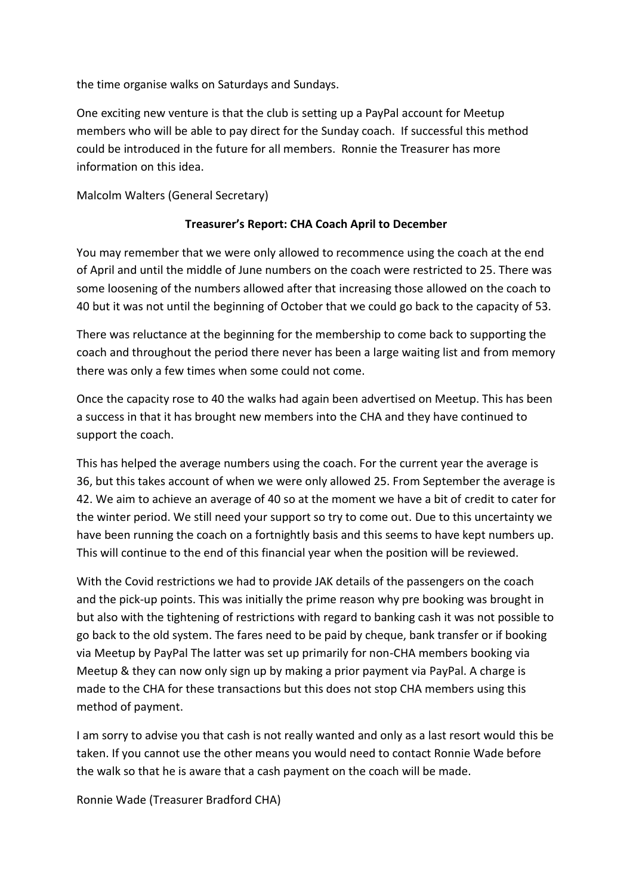the time organise walks on Saturdays and Sundays.

One exciting new venture is that the club is setting up a PayPal account for Meetup members who will be able to pay direct for the Sunday coach. If successful this method could be introduced in the future for all members. Ronnie the Treasurer has more information on this idea.

Malcolm Walters (General Secretary)

#### **Treasurer's Report: CHA Coach April to December**

You may remember that we were only allowed to recommence using the coach at the end of April and until the middle of June numbers on the coach were restricted to 25. There was some loosening of the numbers allowed after that increasing those allowed on the coach to 40 but it was not until the beginning of October that we could go back to the capacity of 53.

There was reluctance at the beginning for the membership to come back to supporting the coach and throughout the period there never has been a large waiting list and from memory there was only a few times when some could not come.

Once the capacity rose to 40 the walks had again been advertised on Meetup. This has been a success in that it has brought new members into the CHA and they have continued to support the coach.

This has helped the average numbers using the coach. For the current year the average is 36, but this takes account of when we were only allowed 25. From September the average is 42. We aim to achieve an average of 40 so at the moment we have a bit of credit to cater for the winter period. We still need your support so try to come out. Due to this uncertainty we have been running the coach on a fortnightly basis and this seems to have kept numbers up. This will continue to the end of this financial year when the position will be reviewed.

With the Covid restrictions we had to provide JAK details of the passengers on the coach and the pick-up points. This was initially the prime reason why pre booking was brought in but also with the tightening of restrictions with regard to banking cash it was not possible to go back to the old system. The fares need to be paid by cheque, bank transfer or if booking via Meetup by PayPal The latter was set up primarily for non-CHA members booking via Meetup & they can now only sign up by making a prior payment via PayPal. A charge is made to the CHA for these transactions but this does not stop CHA members using this method of payment.

I am sorry to advise you that cash is not really wanted and only as a last resort would this be taken. If you cannot use the other means you would need to contact Ronnie Wade before the walk so that he is aware that a cash payment on the coach will be made.

Ronnie Wade (Treasurer Bradford CHA)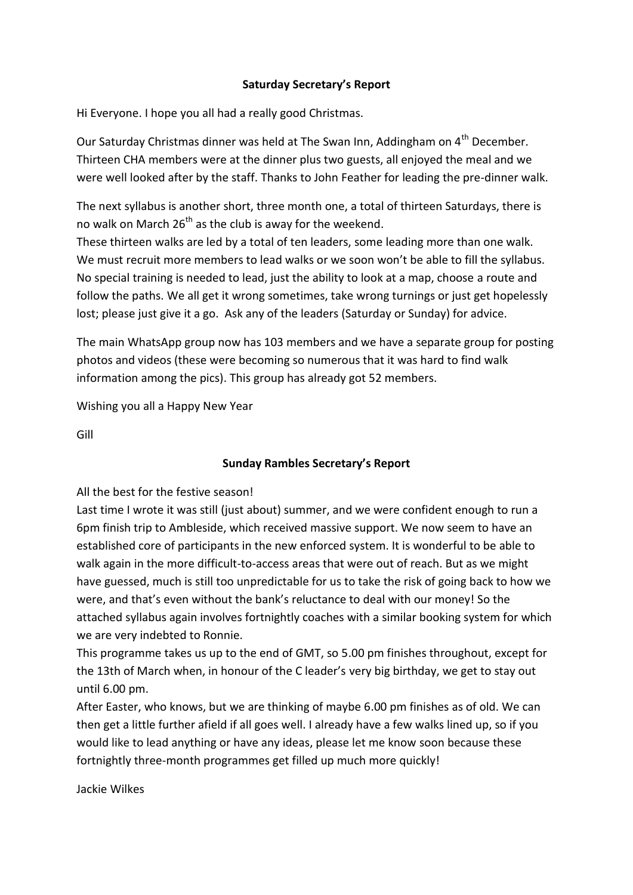## **Saturday Secretary's Report**

Hi Everyone. I hope you all had a really good Christmas.

Our Saturday Christmas dinner was held at The Swan Inn, Addingham on 4<sup>th</sup> December. Thirteen CHA members were at the dinner plus two guests, all enjoyed the meal and we were well looked after by the staff. Thanks to John Feather for leading the pre-dinner walk.

The next syllabus is another short, three month one, a total of thirteen Saturdays, there is no walk on March  $26<sup>th</sup>$  as the club is away for the weekend.

These thirteen walks are led by a total of ten leaders, some leading more than one walk. We must recruit more members to lead walks or we soon won't be able to fill the syllabus. No special training is needed to lead, just the ability to look at a map, choose a route and follow the paths. We all get it wrong sometimes, take wrong turnings or just get hopelessly lost; please just give it a go. Ask any of the leaders (Saturday or Sunday) for advice.

The main WhatsApp group now has 103 members and we have a separate group for posting photos and videos (these were becoming so numerous that it was hard to find walk information among the pics). This group has already got 52 members.

Wishing you all a Happy New Year

Gill

## **Sunday Rambles Secretary's Report**

All the best for the festive season!

Last time I wrote it was still (just about) summer, and we were confident enough to run a 6pm finish trip to Ambleside, which received massive support. We now seem to have an established core of participants in the new enforced system. It is wonderful to be able to walk again in the more difficult-to-access areas that were out of reach. But as we might have guessed, much is still too unpredictable for us to take the risk of going back to how we were, and that's even without the bank's reluctance to deal with our money! So the attached syllabus again involves fortnightly coaches with a similar booking system for which we are very indebted to Ronnie.

This programme takes us up to the end of GMT, so 5.00 pm finishes throughout, except for the 13th of March when, in honour of the C leader's very big birthday, we get to stay out until 6.00 pm.

After Easter, who knows, but we are thinking of maybe 6.00 pm finishes as of old. We can then get a little further afield if all goes well. I already have a few walks lined up, so if you would like to lead anything or have any ideas, please let me know soon because these fortnightly three-month programmes get filled up much more quickly!

Jackie Wilkes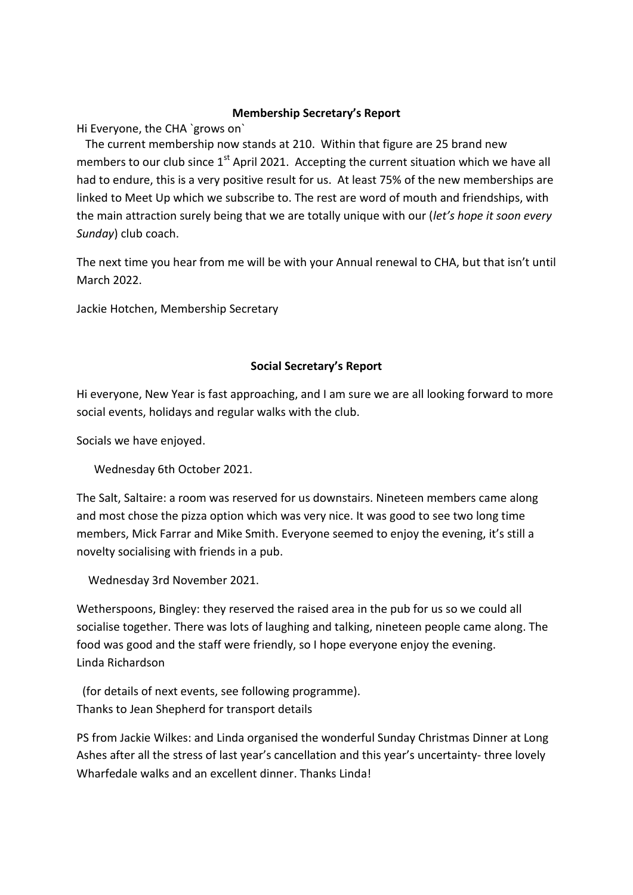#### **Membership Secretary's Report**

Hi Everyone, the CHA `grows on`

 The current membership now stands at 210. Within that figure are 25 brand new members to our club since  $1<sup>st</sup>$  April 2021. Accepting the current situation which we have all had to endure, this is a very positive result for us. At least 75% of the new memberships are linked to Meet Up which we subscribe to. The rest are word of mouth and friendships, with the main attraction surely being that we are totally unique with our (*let's hope it soon every Sunday*) club coach.

The next time you hear from me will be with your Annual renewal to CHA, but that isn't until March 2022.

Jackie Hotchen, Membership Secretary

## **Social Secretary's Report**

Hi everyone, New Year is fast approaching, and I am sure we are all looking forward to more social events, holidays and regular walks with the club.

Socials we have enjoyed.

Wednesday 6th October 2021.

The Salt, Saltaire: a room was reserved for us downstairs. Nineteen members came along and most chose the pizza option which was very nice. It was good to see two long time members, Mick Farrar and Mike Smith. Everyone seemed to enjoy the evening, it's still a novelty socialising with friends in a pub.

Wednesday 3rd November 2021.

Wetherspoons, Bingley: they reserved the raised area in the pub for us so we could all socialise together. There was lots of laughing and talking, nineteen people came along. The food was good and the staff were friendly, so I hope everyone enjoy the evening. Linda Richardson

 (for details of next events, see following programme). Thanks to Jean Shepherd for transport details

PS from Jackie Wilkes: and Linda organised the wonderful Sunday Christmas Dinner at Long Ashes after all the stress of last year's cancellation and this year's uncertainty- three lovely Wharfedale walks and an excellent dinner. Thanks Linda!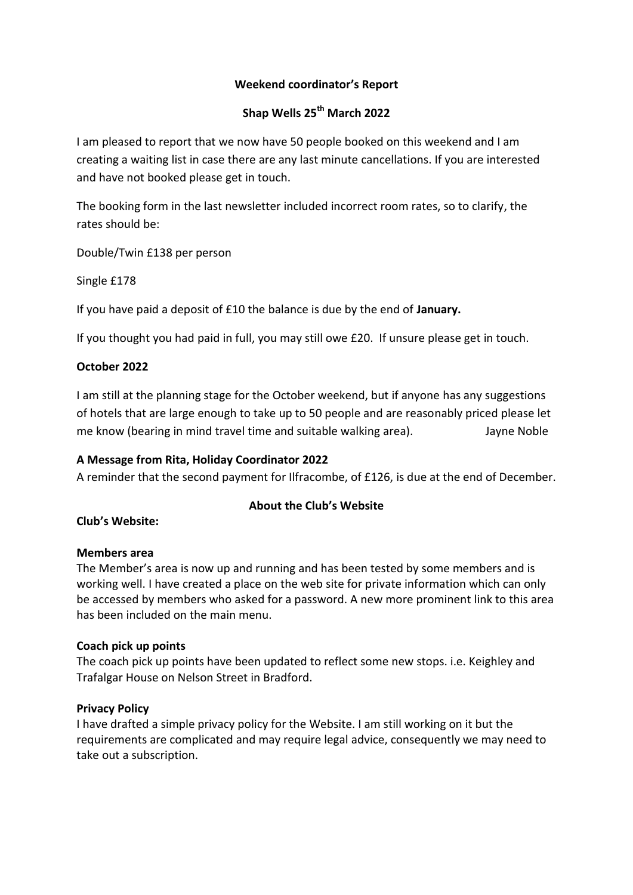## **Weekend coordinator's Report**

## **Shap Wells 25th March 2022**

I am pleased to report that we now have 50 people booked on this weekend and I am creating a waiting list in case there are any last minute cancellations. If you are interested and have not booked please get in touch.

The booking form in the last newsletter included incorrect room rates, so to clarify, the rates should be:

Double/Twin £138 per person

Single £178

If you have paid a deposit of £10 the balance is due by the end of **January.**

If you thought you had paid in full, you may still owe £20. If unsure please get in touch.

## **October 2022**

I am still at the planning stage for the October weekend, but if anyone has any suggestions of hotels that are large enough to take up to 50 people and are reasonably priced please let me know (bearing in mind travel time and suitable walking area). Jayne Noble

## **A Message from Rita, Holiday Coordinator 2022**

A reminder that the second payment for Ilfracombe, of £126, is due at the end of December.

## **About the Club's Website**

**Club's Website:** 

## **Members area**

The Member's area is now up and running and has been tested by some members and is working well. I have created a place on the web site for private information which can only be accessed by members who asked for a password. A new more prominent link to this area has been included on the main menu.

## **Coach pick up points**

The coach pick up points have been updated to reflect some new stops. i.e. Keighley and Trafalgar House on Nelson Street in Bradford.

## **Privacy Policy**

I have drafted a simple privacy policy for the Website. I am still working on it but the requirements are complicated and may require legal advice, consequently we may need to take out a subscription.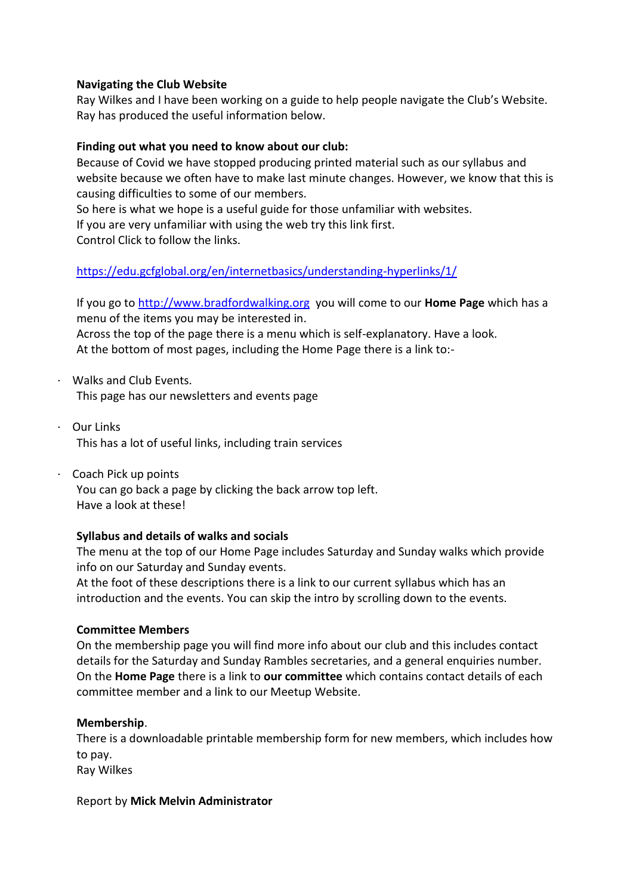#### **Navigating the Club Website**

Ray Wilkes and I have been working on a guide to help people navigate the Club's Website. Ray has produced the useful information below.

#### **Finding out what you need to know about our club:**

Because of Covid we have stopped producing printed material such as our syllabus and website because we often have to make last minute changes. However, we know that this is causing difficulties to some of our members.

So here is what we hope is a useful guide for those unfamiliar with websites.

If you are very unfamiliar with using the web try this link first.

Control Click to follow the links.

## <https://edu.gcfglobal.org/en/internetbasics/understanding-hyperlinks/1/>

If you go to [http://www.bradfordwalking.org](http://www.bradfordwalking.org/) you will come to our **Home Page** which has a menu of the items you may be interested in. Across the top of the page there is a menu which is self-explanatory. Have a look. At the bottom of most pages, including the Home Page there is a link to:-

- · Walks and Club Events. This page has our newsletters and events page
- · Our Links This has a lot of useful links, including train services
- · Coach Pick up points You can go back a page by clicking the back arrow top left. Have a look at these!

## **Syllabus and details of walks and socials**

The menu at the top of our Home Page includes Saturday and Sunday walks which provide info on our Saturday and Sunday events.

At the foot of these descriptions there is a link to our current syllabus which has an introduction and the events. You can skip the intro by scrolling down to the events.

#### **Committee Members**

On the membership page you will find more info about our club and this includes contact details for the Saturday and Sunday Rambles secretaries, and a general enquiries number. On the **Home Page** there is a link to **our committee** which contains contact details of each committee member and a link to our Meetup Website.

#### **Membership**.

There is a downloadable printable membership form for new members, which includes how to pay.

Ray Wilkes

#### Report by **Mick Melvin Administrator**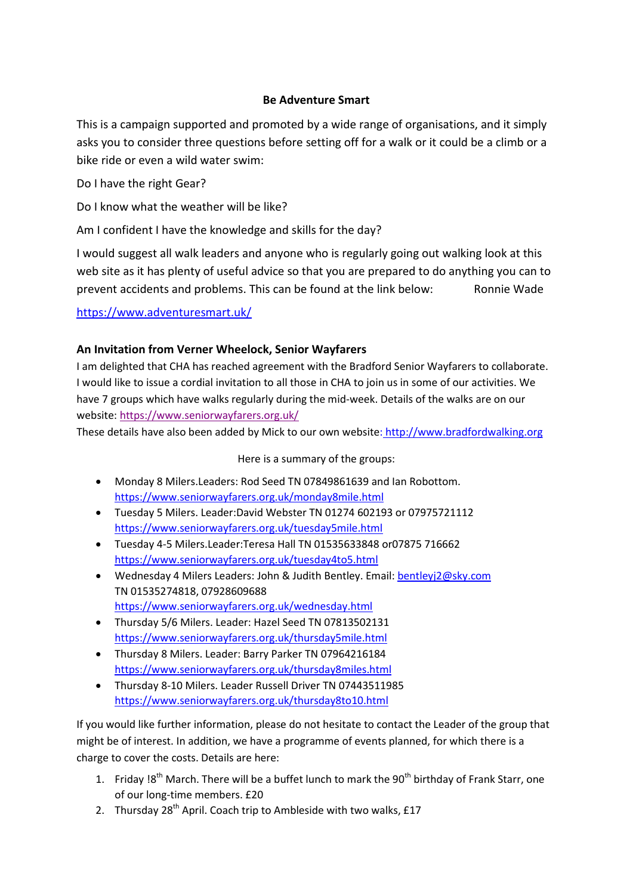## **Be Adventure Smart**

This is a campaign supported and promoted by a wide range of organisations, and it simply asks you to consider three questions before setting off for a walk or it could be a climb or a bike ride or even a wild water swim:

Do I have the right Gear?

Do I know what the weather will be like?

Am I confident I have the knowledge and skills for the day?

I would suggest all walk leaders and anyone who is regularly going out walking look at this web site as it has plenty of useful advice so that you are prepared to do anything you can to prevent accidents and problems. This can be found at the link below: Ronnie Wade

## <https://www.adventuresmart.uk/>

## **An Invitation from Verner Wheelock, Senior Wayfarers**

I am delighted that CHA has reached agreement with the Bradford Senior Wayfarers to collaborate. I would like to issue a cordial invitation to all those in CHA to join us in some of our activities. We have 7 groups which have walks regularly during the mid-week. Details of the walks are on our website[: https://www.seniorwayfarers.org.uk/](https://www.seniorwayfarers.org.uk/)

These details have also been added by Mick to our own website: [http://www.bradfordwalking.org](http://www.bradfordwalking.org/)

Here is a summary of the groups:

- Monday 8 Milers.Leaders: Rod Seed TN 07849861639 and Ian Robottom. <https://www.seniorwayfarers.org.uk/monday8mile.html>
- Tuesday 5 Milers. Leader:David Webster TN 01274 602193 or 07975721112 <https://www.seniorwayfarers.org.uk/tuesday5mile.html>
- Tuesday 4-5 Milers.Leader:Teresa Hall TN 01535633848 or07875 716662 <https://www.seniorwayfarers.org.uk/tuesday4to5.html>
- Wednesday 4 Milers Leaders: John & Judith Bentley. Email: [bentleyj2@sky.com](mailto:bentleyj2@sky.com) TN 01535274818, 07928609688 <https://www.seniorwayfarers.org.uk/wednesday.html>
- Thursday 5/6 Milers. Leader: Hazel Seed TN 07813502131 <https://www.seniorwayfarers.org.uk/thursday5mile.html>
- Thursday 8 Milers. Leader: Barry Parker TN 07964216184 <https://www.seniorwayfarers.org.uk/thursday8miles.html>
- Thursday 8-10 Milers. Leader Russell Driver TN 07443511985 <https://www.seniorwayfarers.org.uk/thursday8to10.html>

If you would like further information, please do not hesitate to contact the Leader of the group that might be of interest. In addition, we have a programme of events planned, for which there is a charge to cover the costs. Details are here:

- 1. Friday  $18^{th}$  March. There will be a buffet lunch to mark the 90 $^{th}$  birthday of Frank Starr, one of our long-time members. £20
- 2. Thursday  $28^{th}$  April. Coach trip to Ambleside with two walks, £17